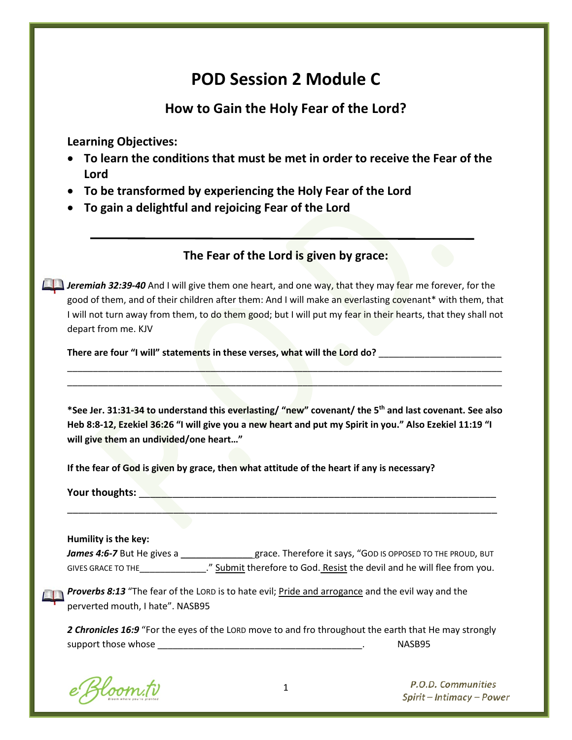# **POD Session 2 Module C**

# **How to Gain the Holy Fear of the Lord?**

**Learning Objectives:**

- **To learn the conditions that must be met in order to receive the Fear of the Lord**
- **To be transformed by experiencing the Holy Fear of the Lord**
- **To gain a delightful and rejoicing Fear of the Lord**

# **The Fear of the Lord is given by grace:**

**Jeremiah 32:39-40** And I will give them one heart, and one way, that they may fear me forever, for the good of them, and of their children after them: And I will make an everlasting covenant\* with them, that I will not turn away from them, to do them good; but I will put my fear in their hearts, that they shall not depart from me. KJV

**There are four "I will" statements in these verses, what will the Lord do?** \_\_\_\_\_\_\_\_\_\_\_\_\_\_\_\_\_\_\_\_\_\_\_\_

**\*See Jer. 31:31-34 to understand this everlasting/ "new" covenant/ the 5th and last covenant. See also Heb 8:8-12, Ezekiel 36:26 "I will give you a new heart and put my Spirit in you." Also Ezekiel 11:19 "I will give them an undivided/one heart…"**

\_\_\_\_\_\_\_\_\_\_\_\_\_\_\_\_\_\_\_\_\_\_\_\_\_\_\_\_\_\_\_\_\_\_\_\_\_\_\_\_\_\_\_\_\_\_\_\_\_\_\_\_\_\_\_\_\_\_\_\_\_\_\_\_\_\_\_\_\_\_\_\_\_\_\_\_\_\_\_\_\_\_\_\_\_ \_\_\_\_\_\_\_\_\_\_\_\_\_\_\_\_\_\_\_\_\_\_\_\_\_\_\_\_\_\_\_\_\_\_\_\_\_\_\_\_\_\_\_\_\_\_\_\_\_\_\_\_\_\_\_\_\_\_\_\_\_\_\_\_\_\_\_\_\_\_\_\_\_\_\_\_\_\_\_\_\_\_\_\_\_

**If the fear of God is given by grace, then what attitude of the heart if any is necessary?** 

**Your thoughts: with a set of the set of the set of the set of the set of the set of the set of the set of the set of the set of the set of the set of the set of the set of the set of the set of the set of the set of the** 

**Humility is the key:**

James 4:6-7 But He gives a \_\_\_\_\_\_\_\_\_\_\_\_\_\_\_\_\_grace. Therefore it says, "GOD IS OPPOSED TO THE PROUD, BUT GIVES GRACE TO THE\_\_\_\_\_\_\_\_\_\_\_\_\_." Submit therefore to God. Resist the devil and he will flee from you.

\_\_\_\_\_\_\_\_\_\_\_\_\_\_\_\_\_\_\_\_\_\_\_\_\_\_\_\_\_\_\_\_\_\_\_\_\_\_\_\_\_\_\_\_\_\_\_\_\_\_\_\_\_\_\_\_\_\_\_\_\_\_\_\_\_\_\_\_\_\_\_\_\_\_\_\_\_

**Proverbs 8:13** "The fear of the LORD is to hate evil; Pride and arrogance and the evil way and the perverted mouth, I hate". NASB95

*2 Chronicles 16:9* "For the eyes of the LORD move to and fro throughout the earth that He may strongly support those whose \_\_\_\_\_\_\_\_\_\_\_\_\_\_\_\_\_\_\_\_\_\_\_\_\_\_\_\_\_\_\_\_\_\_\_\_\_\_\_\_. NASB95

Bloom.tv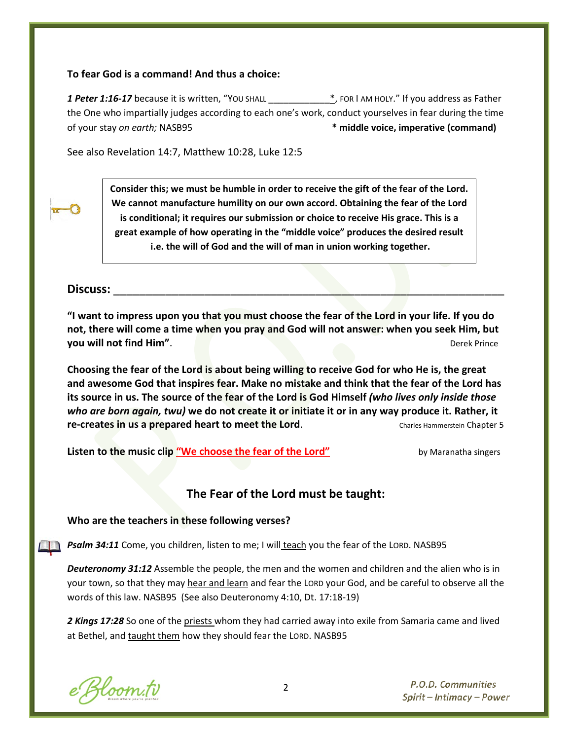#### **To fear God is a command! And thus a choice:**

**1 Peter 1:16-17** because it is written, "You shall **the absolute that the status**, FOR I am HOLY." If you address as Father the One who impartially judges according to each one's work, conduct yourselves in fear during the time of your stay *on earth;* NASB95 **\* middle voice, imperative (command)**

See also Revelation 14:7, Matthew 10:28, Luke 12:5



**Consider this; we must be humble in order to receive the gift of the fear of the Lord. We cannot manufacture humility on our own accord. Obtaining the fear of the Lord is conditional; it requires our submission or choice to receive His grace. This is a great example of how operating in the "middle voice" produces the desired result i.e. the will of God and the will of man in union working together.**

#### **Discuss:** \_\_\_\_\_\_\_\_\_\_\_\_\_\_\_\_\_\_\_\_\_\_\_\_\_\_\_\_\_\_\_\_\_\_\_\_\_\_\_\_\_\_\_\_\_\_\_\_\_\_\_\_\_\_\_\_\_\_\_\_

**"I want to impress upon you that you must choose the fear of the Lord in your life. If you do not, there will come a time when you pray and God will not answer: when you seek Him, but you will not find Him".** Derek Prince

**Choosing the fear of the Lord is about being willing to receive God for who He is, the great and awesome God that inspires fear. Make no mistake and think that the fear of the Lord has its source in us. The source of the fear of the Lord is God Himself** *(who lives only inside those who are born again, twu)* **we do not create it or initiate it or in any way produce it. Rather, it re-creates in us a prepared heart to meet the Lord.** Charles Hammerstein Chapter 5

**Listen to the music clip** ["We choose the fear of the Lord"](http://www.youtube.com/watch?v=KZ35aiGAchc) by Maranatha singers

### **The Fear of the Lord must be taught:**

#### **Who are the teachers in these following verses?**

*Psalm 34:11* Come, you children, listen to me; I will teach you the fear of the LORD. NASB95

*Deuteronomy 31:12* Assemble the people, the men and the women and children and the alien who is in your town, so that they may hear and learn and fear the LORD your God, and be careful to observe all the words of this law. NASB95 (See also Deuteronomy 4:10, Dt. 17:18-19)

*2 Kings 17:28* So one of the priests whom they had carried away into exile from Samaria came and lived at Bethel, and taught them how they should fear the LORD. NASB95

e Bloom.tv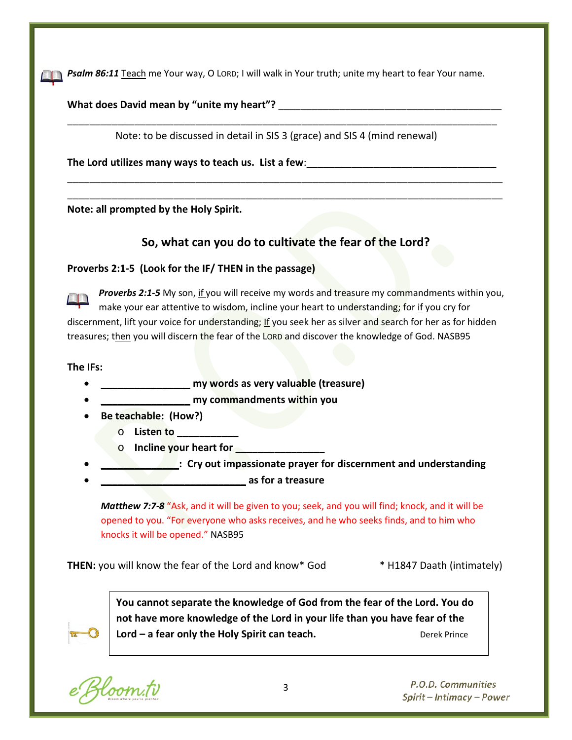*Psalm 86:11* Teach me Your way, O LORD; I will walk in Your truth; unite my heart to fear Your name. 

What does David mean by "unite my heart"?

Note: to be discussed in detail in SIS 3 (grace) and SIS 4 (mind renewal)

\_\_\_\_\_\_\_\_\_\_\_\_\_\_\_\_\_\_\_\_\_\_\_\_\_\_\_\_\_\_\_\_\_\_\_\_\_\_\_\_\_\_\_\_\_\_\_\_\_\_\_\_\_\_\_\_\_\_\_\_\_\_\_\_\_\_\_\_\_\_\_\_\_\_\_\_\_

\_\_\_\_\_\_\_\_\_\_\_\_\_\_\_\_\_\_\_\_\_\_\_\_\_\_\_\_\_\_\_\_\_\_\_\_\_\_\_\_\_\_\_\_\_\_\_\_\_\_\_\_\_\_\_\_\_\_\_\_\_\_\_\_\_\_\_\_\_\_\_\_\_\_\_\_\_\_ \_\_\_\_\_\_\_\_\_\_\_\_\_\_\_\_\_\_\_\_\_\_\_\_\_\_\_\_\_\_\_\_\_\_\_\_\_\_\_\_\_\_\_\_\_\_\_\_\_\_\_\_\_\_\_\_\_\_\_\_\_\_\_\_\_\_\_\_\_\_\_\_\_\_\_\_\_\_

**The Lord utilizes many ways to teach us. List a few**:\_\_\_\_\_\_\_\_\_\_\_\_\_\_\_\_\_\_\_\_\_\_\_\_\_\_\_\_\_\_\_\_\_\_

**Note: all prompted by the Holy Spirit.**

# **So, what can you do to cultivate the fear of the Lord?**

#### **Proverbs 2:1-5 (Look for the IF/ THEN in the passage)**

*Proverbs 2:1-5* My son, if you will receive my words and treasure my commandments within you, make your ear attentive to wisdom, incline your heart to understanding; for if you cry for discernment, lift your voice for understanding; If you seek her as silver and search for her as for hidden treasures; then you will discern the fear of the LORD and discover the knowledge of God. NASB95

**The IFs:**

- **\_\_\_\_\_\_\_\_\_\_\_\_\_\_\_\_ my words as very valuable (treasure)**
- **\_\_\_\_\_\_\_\_\_\_\_\_\_\_\_\_ my commandments within you**
- **Be teachable: (How?)**
	- o **Listen to \_\_\_\_\_\_\_\_\_\_\_**
	- **b Incline your heart for**
- **Example 20 Cry out impassionate prayer for discernment and understanding**
- **\_\_\_\_\_\_\_\_\_\_\_\_\_\_\_\_\_\_\_\_\_\_\_\_\_\_ as for a treasure**

*Matthew 7:7-8* "Ask, and it will be given to you; seek, and you will find; knock, and it will be opened to you. "For everyone who asks receives, and he who seeks finds, and to him who knocks it will be opened." NASB95

**THEN:** you will know the fear of the Lord and know\* God \* H1847 Daath (intimately)



**You cannot separate the knowledge of God from the fear of the Lord. You do not have more knowledge of the Lord in your life than you have fear of the Lord** – **a fear only the Holy Spirit can teach. Department Constructs** Derek Prince

Bloom.tv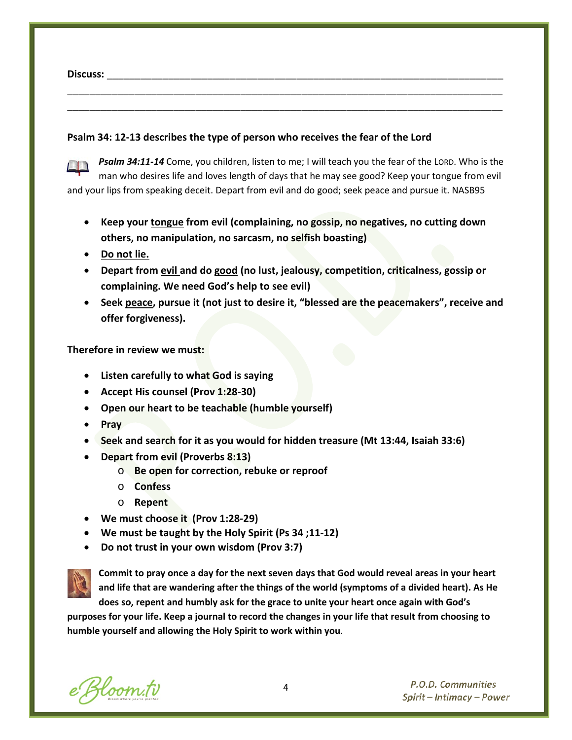**Discuss:** \_\_\_\_\_\_\_\_\_\_\_\_\_\_\_\_\_\_\_\_\_\_\_\_\_\_\_\_\_\_\_\_\_\_\_\_\_\_\_\_\_\_\_\_\_\_\_\_\_\_\_\_\_\_\_\_\_\_\_\_\_\_\_\_\_\_\_\_\_\_\_

#### **Psalm 34: 12-13 describes the type of person who receives the fear of the Lord**



*Psalm 34:11-14* Come, you children, listen to me; I will teach you the fear of the LORD. Who is the man who desires life and loves length of days that he may see good? Keep your tongue from evil and your lips from speaking deceit. Depart from evil and do good; seek peace and pursue it. NASB95

\_\_\_\_\_\_\_\_\_\_\_\_\_\_\_\_\_\_\_\_\_\_\_\_\_\_\_\_\_\_\_\_\_\_\_\_\_\_\_\_\_\_\_\_\_\_\_\_\_\_\_\_\_\_\_\_\_\_\_\_\_\_\_\_\_\_\_\_\_\_\_\_\_\_\_\_\_\_ \_\_\_\_\_\_\_\_\_\_\_\_\_\_\_\_\_\_\_\_\_\_\_\_\_\_\_\_\_\_\_\_\_\_\_\_\_\_\_\_\_\_\_\_\_\_\_\_\_\_\_\_\_\_\_\_\_\_\_\_\_\_\_\_\_\_\_\_\_\_\_\_\_\_\_\_\_\_

- **Keep your tongue from evil (complaining, no gossip, no negatives, no cutting down others, no manipulation, no sarcasm, no selfish boasting)**
- **Do not lie.**
- **Depart from evil and do good (no lust, jealousy, competition, criticalness, gossip or complaining. We need God's help to see evil)**
- **Seek peace, pursue it (not just to desire it, "blessed are the peacemakers", receive and offer forgiveness).**

**Therefore in review we must:**

- **Listen carefully to what God is saying**
- **Accept His counsel (Prov 1:28-30)**
- **Open our heart to be teachable (humble yourself)**
- **Pray**
- **Seek and search for it as you would for hidden treasure (Mt 13:44, Isaiah 33:6)**
- **Depart from evil (Proverbs 8:13)**
	- o **Be open for correction, rebuke or reproof**
	- o **Confess**
	- o **Repent**
- **We must choose it (Prov 1:28-29)**
- **We must be taught by the Holy Spirit (Ps 34 ;11-12)**
- **Do not trust in your own wisdom (Prov 3:7)**



**Commit to pray once a day for the next seven days that God would reveal areas in your heart and life that are wandering after the things of the world (symptoms of a divided heart). As He does so, repent and humbly ask for the grace to unite your heart once again with God's** 

**purposes for your life. Keep a journal to record the changes in your life that result from choosing to humble yourself and allowing the Holy Spirit to work within you**.

e Bloom.tv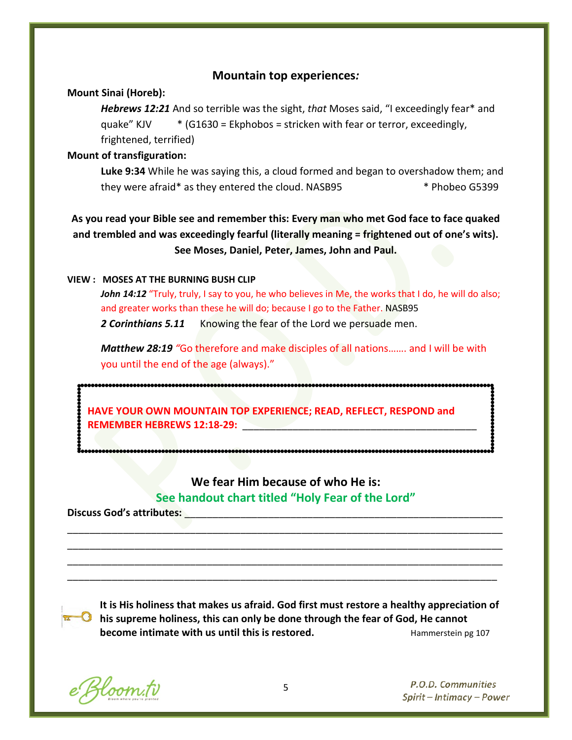#### **Mountain top experiences***:*

#### **Mount Sinai (Horeb):**

*Hebrews 12:21* And so terrible was the sight, *that* Moses said, "I exceedingly fear\* and quake" KJV  $*$  (G1630 = Ekphobos = stricken with fear or terror, exceedingly, frightened, terrified)

#### **Mount of transfiguration:**

**Luke 9:34** While he was saying this, a cloud formed and began to overshadow them; and they were afraid\* as they entered the cloud. NASB95 \*\*\* Phobeo G5399

**As you read your Bible see and remember this: Every man who met God face to face quaked and trembled and was exceedingly fearful (literally meaning = frightened out of one's wits). See Moses, Daniel, Peter, James, John and Paul.**

#### **VIEW : MOSES AT THE BURNING BUSH CLIP**

John 14:12 "Truly, truly, I say to you, he who believes in Me, the works that I do, he will do also; and greater works than these he will do; because I go to the Father. NASB95 *2 Corinthians 5.11* Knowing the fear of the Lord we persuade men.

*Matthew 28:19 "*Go therefore and make disciples of all nations……. and I will be with you until the end of the age (always)."

**HAVE YOUR OWN MOUNTAIN TOP EXPERIENCE; READ, REFLECT, RESPOND and REMEMBER HEBREWS 12:18-29:** 

# **We fear Him because of who He is: See handout chart titled "Holy Fear of the Lord"**

\_\_\_\_\_\_\_\_\_\_\_\_\_\_\_\_\_\_\_\_\_\_\_\_\_\_\_\_\_\_\_\_\_\_\_\_\_\_\_\_\_\_\_\_\_\_\_\_\_\_\_\_\_\_\_\_\_\_\_\_\_\_\_\_\_\_\_\_\_\_\_\_\_\_\_\_\_\_ \_\_\_\_\_\_\_\_\_\_\_\_\_\_\_\_\_\_\_\_\_\_\_\_\_\_\_\_\_\_\_\_\_\_\_\_\_\_\_\_\_\_\_\_\_\_\_\_\_\_\_\_\_\_\_\_\_\_\_\_\_\_\_\_\_\_\_\_\_\_\_\_\_\_\_\_\_\_ \_\_\_\_\_\_\_\_\_\_\_\_\_\_\_\_\_\_\_\_\_\_\_\_\_\_\_\_\_\_\_\_\_\_\_\_\_\_\_\_\_\_\_\_\_\_\_\_\_\_\_\_\_\_\_\_\_\_\_\_\_\_\_\_\_\_\_\_\_\_\_\_\_\_\_\_\_\_ \_\_\_\_\_\_\_\_\_\_\_\_\_\_\_\_\_\_\_\_\_\_\_\_\_\_\_\_\_\_\_\_\_\_\_\_\_\_\_\_\_\_\_\_\_\_\_\_\_\_\_\_\_\_\_\_\_\_\_\_\_\_\_\_\_\_\_\_\_\_\_\_\_\_\_\_\_

Discuss God's attributes:

**It is His holiness that makes us afraid. God first must restore a healthy appreciation of his supreme holiness, this can only be done through the fear of God, He cannot become intimate with us until this is restored.** Hammerstein pg 107

e Bloom.tv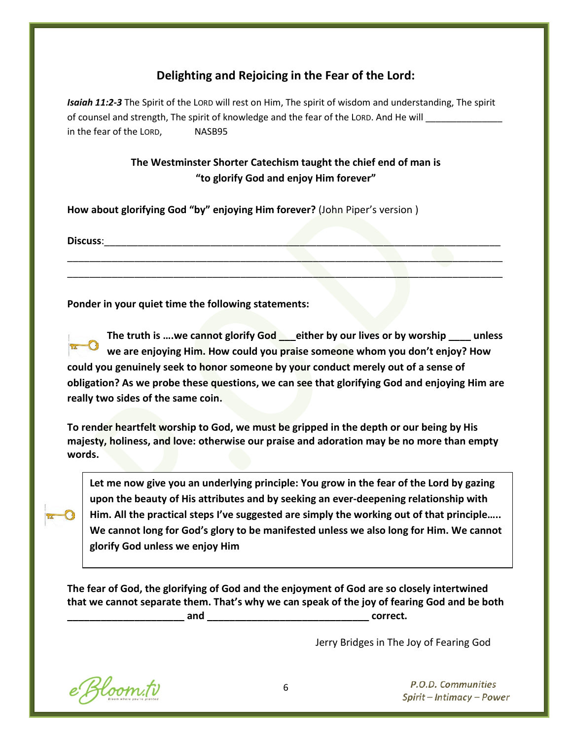# **Delighting and Rejoicing in the Fear of the Lord:**

*Isaiah 11:2-3* The Spirit of the LORD will rest on Him, The spirit of wisdom and understanding, The spirit of counsel and strength, The spirit of knowledge and the fear of the LORD. And He will in the fear of the LORD, NASB95

# **The Westminster Shorter Catechism taught the chief end of man is "to glorify God and enjoy Him forever"**

\_\_\_\_\_\_\_\_\_\_\_\_\_\_\_\_\_\_\_\_\_\_\_\_\_\_\_\_\_\_\_\_\_\_\_\_\_\_\_\_\_\_\_\_\_\_\_\_\_\_\_\_\_\_\_\_\_\_\_\_\_\_\_\_\_\_\_\_\_\_\_\_\_\_\_\_\_\_ \_\_\_\_\_\_\_\_\_\_\_\_\_\_\_\_\_\_\_\_\_\_\_\_\_\_\_\_\_\_\_\_\_\_\_\_\_\_\_\_\_\_\_\_\_\_\_\_\_\_\_\_\_\_\_\_\_\_\_\_\_\_\_\_\_\_\_\_\_\_\_\_\_\_\_\_\_\_

**How about glorifying God "by" enjoying Him forever?** (John Piper's version )

**Discuss**:\_\_\_\_\_\_\_\_\_\_\_\_\_\_\_\_\_\_\_\_\_\_\_\_\_\_\_\_\_\_\_\_\_\_\_\_\_\_\_\_\_\_\_\_\_\_\_\_\_\_\_\_\_\_\_\_\_\_\_\_\_\_\_\_\_\_\_\_\_\_\_

**Ponder in your quiet time the following statements:**

**The truth is ….we cannot glorify God \_\_\_either by our lives or by worship \_\_\_\_ unless we are enjoying Him. How could you praise someone whom you don't enjoy? How could you genuinely seek to honor someone by your conduct merely out of a sense of obligation? As we probe these questions, we can see that glorifying God and enjoying Him are really two sides of the same coin.**

**To render heartfelt worship to God, we must be gripped in the depth or our being by His majesty, holiness, and love: otherwise our praise and adoration may be no more than empty words.**

**Let me now give you an underlying principle: You grow in the fear of the Lord by gazing upon the beauty of His attributes and by seeking an ever-deepening relationship with Him. All the practical steps I've suggested are simply the working out of that principle….. We cannot long for God's glory to be manifested unless we also long for Him. We cannot glorify God unless we enjoy Him**

**The fear of God, the glorifying of God and the enjoyment of God are so closely intertwined that we cannot separate them. That's why we can speak of the joy of fearing God and be both \_\_\_\_\_\_\_\_\_\_\_\_\_\_\_\_\_\_\_\_\_ and \_\_\_\_\_\_\_\_\_\_\_\_\_\_\_\_\_\_\_\_\_\_\_\_\_\_\_\_\_ correct.** 

Jerry Bridges in The Joy of Fearing God

e Bloom.tv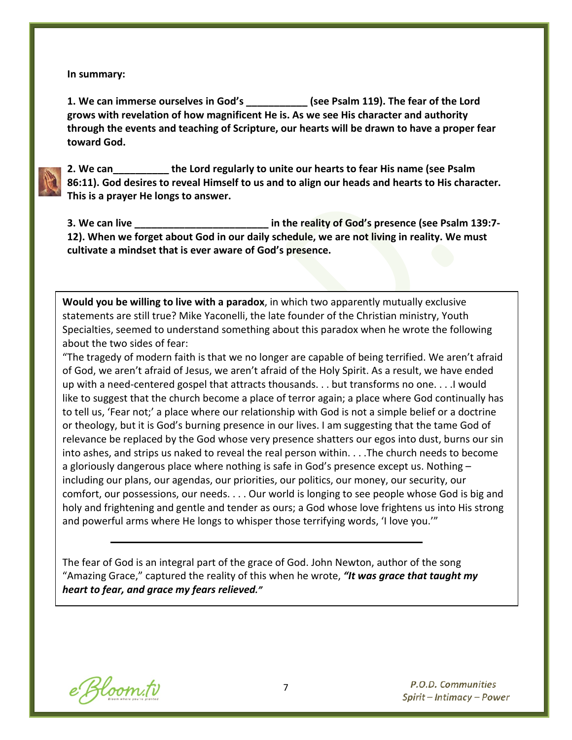**In summary:**

**1. We can immerse ourselves in God's \_\_\_\_\_\_\_\_\_\_\_ (see Psalm 119). The fear of the Lord grows with revelation of how magnificent He is. As we see His character and authority through the events and teaching of Scripture, our hearts will be drawn to have a proper fear toward God.** 

**2. We can\_\_\_\_\_\_\_\_\_\_ the Lord regularly to unite our hearts to fear His name (see Psalm 86:11). God desires to reveal Himself to us and to align our heads and hearts to His character. This is a prayer He longs to answer.** 

**3. We can live \_\_\_\_\_\_\_\_\_\_\_\_\_\_\_\_\_\_\_\_\_\_\_\_ in the reality of God's presence (see Psalm 139:7- 12). When we forget about God in our daily schedule, we are not living in reality. We must cultivate a mindset that is ever aware of God's presence.** 

**Would you be willing to live with a paradox**, in which two apparently mutually exclusive statements are still true? Mike Yaconelli, the late founder of the Christian ministry, Youth Specialties, seemed to understand something about this paradox when he wrote the following about the two sides of fear:

"The tragedy of modern faith is that we no longer are capable of being terrified. We aren't afraid of God, we aren't afraid of Jesus, we aren't afraid of the Holy Spirit. As a result, we have ended up with a need-centered gospel that attracts thousands. . . but transforms no one. . . .I would like to suggest that the church become a place of terror again; a place where God continually has to tell us, 'Fear not;' a place where our relationship with God is not a simple belief or a doctrine or theology, but it is God's burning presence in our lives. I am suggesting that the tame God of relevance be replaced by the God whose very presence shatters our egos into dust, burns our sin into ashes, and strips us naked to reveal the real person within. . . .The church needs to become a gloriously dangerous place where nothing is safe in God's presence except us. Nothing – including our plans, our agendas, our priorities, our politics, our money, our security, our comfort, our possessions, our needs. . . . Our world is longing to see people whose God is big and holy and frightening and gentle and tender as ours; a God whose love frightens us into His strong and powerful arms where He longs to whisper those terrifying words, 'I love you.'"

The fear of God is an integral part of the grace of God. John Newton, author of the song "Amazing Grace," captured the reality of this when he wrote, *"It was grace that taught my heart to fear, and grace my fears relieved."*

e Bloom.tv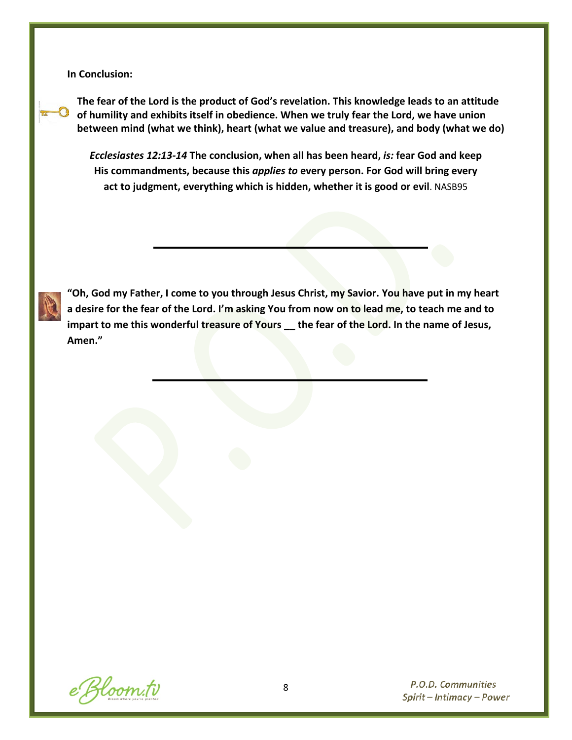**In Conclusion:**

**The fear of the Lord is the product of God's revelation. This knowledge leads to an attitude of humility and exhibits itself in obedience. When we truly fear the Lord, we have union between mind (what we think), heart (what we value and treasure), and body (what we do)**

*Ecclesiastes 12:13-14* **The conclusion, when all has been heard,** *is:* **fear God and keep His commandments, because this** *applies to* **every person. For God will bring every act to judgment, everything which is hidden, whether it is good or evil**. NASB95



**"Oh, God my Father, I come to you through Jesus Christ, my Savior. You have put in my heart a desire for the fear of the Lord. I'm asking You from now on to lead me, to teach me and to impart to me this wonderful treasure of Yours \_\_ the fear of the Lord. In the name of Jesus, Amen."** 

e Bloom.tv